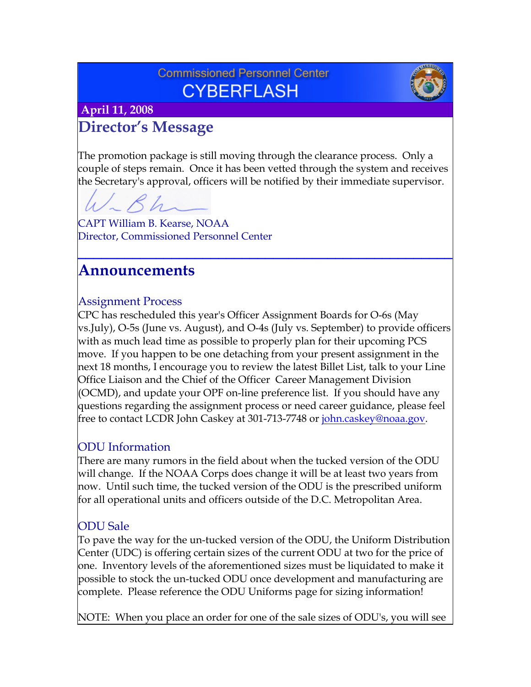## **Commissioned Personnel Center CYBERFLASH**



 **April 11, 2008**

# **Director's Message**

The promotion package is still moving through the clearance process. Only a couple of steps remain. Once it has been vetted through the system and receives the Secretary's approval, officers will be notified by their immediate supervisor.

**\_\_\_\_\_\_\_\_\_\_\_\_\_\_\_\_\_\_\_\_\_\_\_\_\_\_\_\_\_\_\_\_\_\_\_\_\_\_\_\_\_\_\_\_\_\_\_\_**

CAPT William B. Kearse, NOAA Director, Commissioned Personnel Center

## **Announcements**

### Assignment Process

CPC has rescheduled this year's Officer Assignment Boards for O-6s (May vs.July), O-5s (June vs. August), and O-4s (July vs. September) to provide officers with as much lead time as possible to properly plan for their upcoming PCS move. If you happen to be one detaching from your present assignment in the next 18 months, I encourage you to review the latest Billet List, talk to your Line Office Liaison and the Chief of the Officer Career Management Division (OCMD), and update your OPF on-line preference list. If you should have any questions regarding the assignment process or need career guidance, please feel free to contact LCDR John Caskey at 301-713-7748 or [john.caskey@noaa.gov](mailto:john.caskey@noaa.gov).

## ODU Information

There are many rumors in the field about when the tucked version of the ODU will change. If the NOAA Corps does change it will be at least two years from now. Until such time, the tucked version of the ODU is the prescribed uniform for all operational units and officers outside of the D.C. Metropolitan Area.

## ODU Sale

To pave the way for the un-tucked version of the ODU, the Uniform Distribution Center (UDC) is offering certain sizes of the current ODU at two for the price of one. Inventory levels of the aforementioned sizes must be liquidated to make it possible to stock the un-tucked ODU once development and manufacturing are complete. Please reference the ODU Uniforms page for sizing information!

NOTE: When you place an order for one of the sale sizes of ODU's, you will see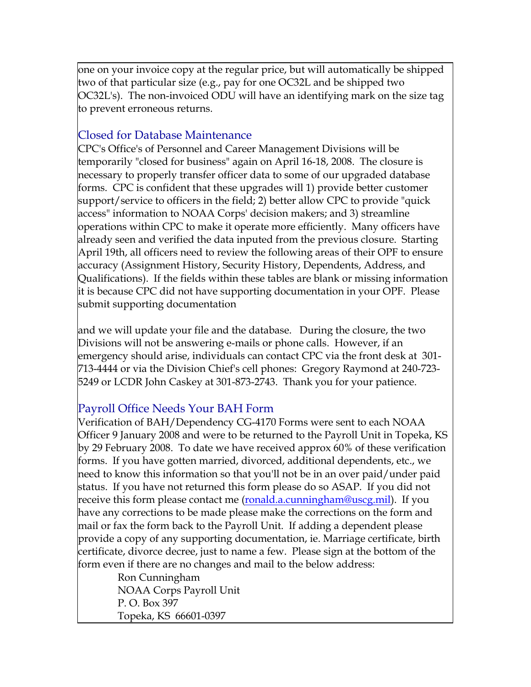one on your invoice copy at the regular price, but will automatically be shipped two of that particular size (e.g., pay for one OC32L and be shipped two OC32L's). The non-invoiced ODU will have an identifying mark on the size tag to prevent erroneous returns.

## Closed for Database Maintenance

CPC's Office's of Personnel and Career Management Divisions will be temporarily "closed for business" again on April 16-18, 2008. The closure is necessary to properly transfer officer data to some of our upgraded database forms. CPC is confident that these upgrades will 1) provide better customer support/service to officers in the field; 2) better allow CPC to provide "quick access" information to NOAA Corps' decision makers; and 3) streamline operations within CPC to make it operate more efficiently. Many officers have already seen and verified the data inputed from the previous closure. Starting April 19th, all officers need to review the following areas of their OPF to ensure accuracy (Assignment History, Security History, Dependents, Address, and Qualifications). If the fields within these tables are blank or missing information it is because CPC did not have supporting documentation in your OPF. Please submit supporting documentation

and we will update your file and the database. During the closure, the two Divisions will not be answering e-mails or phone calls. However, if an emergency should arise, individuals can contact CPC via the front desk at 301- 713-4444 or via the Division Chief's cell phones: Gregory Raymond at 240-723- 5249 or LCDR John Caskey at 301-873-2743. Thank you for your patience.

## Payroll Office Needs Your BAH Form

Verification of BAH/Dependency CG-4170 Forms were sent to each NOAA Officer 9 January 2008 and were to be returned to the Payroll Unit in Topeka, KS by 29 February 2008. To date we have received approx 60% of these verification forms. If you have gotten married, divorced, additional dependents, etc., we need to know this information so that you'll not be in an over paid/under paid status. If you have not returned this form please do so ASAP. If you did not receive this form please contact me (<u>ronald.a.cunningham@uscg.mil</u>). If you have any corrections to be made please make the corrections on the form and mail or fax the form back to the Payroll Unit. If adding a dependent please provide a copy of any supporting documentation, ie. Marriage certificate, birth certificate, divorce decree, just to name a few. Please sign at the bottom of the form even if there are no changes and mail to the below address:

 Ron Cunningham NOAA Corps Payroll Unit P. O. Box 397 Topeka, KS 66601-0397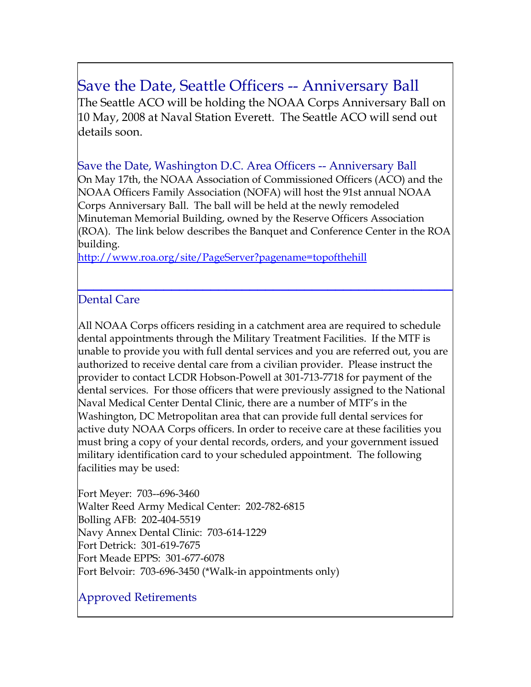# Save the Date, Seattle Officers -- Anniversary Ball

The Seattle ACO will be holding the NOAA Corps Anniversary Ball on 10 May, 2008 at Naval Station Everett. The Seattle ACO will send out details soon.

Save the Date, Washington D.C. Area Officers -- Anniversary Ball On May 17th, the NOAA Association of Commissioned Officers (ACO) and the NOAA Officers Family Association (NOFA) will host the 91st annual NOAA Corps Anniversary Ball. The ball will be held at the newly remodeled Minuteman Memorial Building, owned by the Reserve Officers Association (ROA). The link below describes the Banquet and Conference Center in the ROA building.

**[\\_\\_](http://www.roa.org/site/PageServer?pagename=topofthehill)\_\_\_\_\_\_\_\_\_\_\_\_\_\_\_\_\_\_\_\_\_\_\_\_\_\_\_\_\_\_\_\_\_\_\_\_\_\_\_\_\_\_\_\_\_\_**

[http://www](http://www.roa.org/site/PageServer?pagename=topofthehill).roa.org/site/PageServer?pagename=topofthehill

### [Dental Care](http://www.roa.org/site/PageServer?pagename=topofthehill)

All NOAA Corps officers residing in a catchment area are required to schedule dental appointments through the Military Treatment Facilities. If the MTF is unable to provide you with full dental services and you are referred out, you are authorized to receive dental care from a civilian provider. Please instruct the provider to contact LCDR Hobson-Powell at 301-713-7718 for payment of the dental services. For those officers that were previously assigned to the National Naval Medical Center Dental Clinic, there are a number of MTF's in the Washington, DC Metropolitan area that can provide full dental services for active duty NOAA Corps officers. In order to receive care at these facilities you must bring a copy of your dental records, orders, and your government issued military identification card to your scheduled appointment. The following facilities may be used:

Fort Meyer: 703--696-3460 Walter Reed Army Medical Center: 202-782-6815 Bolling AFB: 202-404-5519 Navy Annex Dental Clinic: 703-614-1229 Fort Detrick: 301-619-7675 Fort Meade EPPS: 301-677-6078 Fort Belvoir: 703-696-3450 (\*Walk-in appointments only)

## Approved Retirements